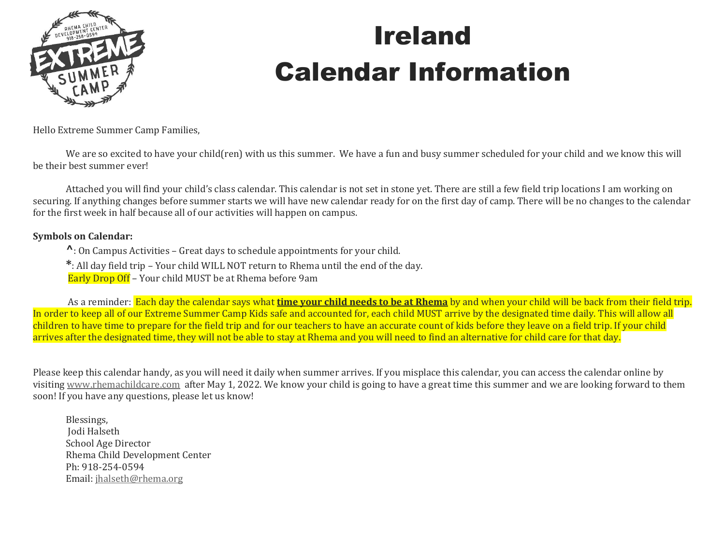

## Ireland Calendar Information

Hello Extreme Summer Camp Families,

We are so excited to have your child(ren) with us this summer. We have a fun and busy summer scheduled for your child and we know this will be their best summer ever!

Attached you will find your child's class calendar. This calendar is not set in stone yet. There are still a few field trip locations I am working on securing. If anything changes before summer starts we will have new calendar ready for on the first day of camp. There will be no changes to the calendar for the first week in half because all of our activities will happen on campus.

#### **Symbols on Calendar:**

**^**: On Campus Activities – Great days to schedule appointments for your child.

**\***: All day field trip – Your child WILL NOT return to Rhema until the end of the day.

Early Drop Off – Your child MUST be at Rhema before 9am

As a reminder: Each day the calendar says what **time your child needs to be at Rhema** by and when your child will be back from their field trip. In order to keep all of our Extreme Summer Camp Kids safe and accounted for, each child MUST arrive by the designated time daily. This will allow all children to have time to prepare for the field trip and for our teachers to have an accurate count of kids before they leave on a field trip. If your child arrives after the designated time, they will not be able to stay at Rhema and you will need to find an alternative for child care for that day.

Please keep this calendar handy, as you will need it daily when summer arrives. If you misplace this calendar, you can access the calendar online by visiting [www.rhemachildcare.com](http://www.rhemachildcare.com/) after May 1, 2022. We know your child is going to have a great time this summer and we are looking forward to them soon! If you have any questions, please let us know!

Blessings, Jodi Halseth School Age Director Rhema Child Development Center Ph: 918-254-0594 Email: [jhalseth@rhema.org](mailto:jhalseth@rhema.org)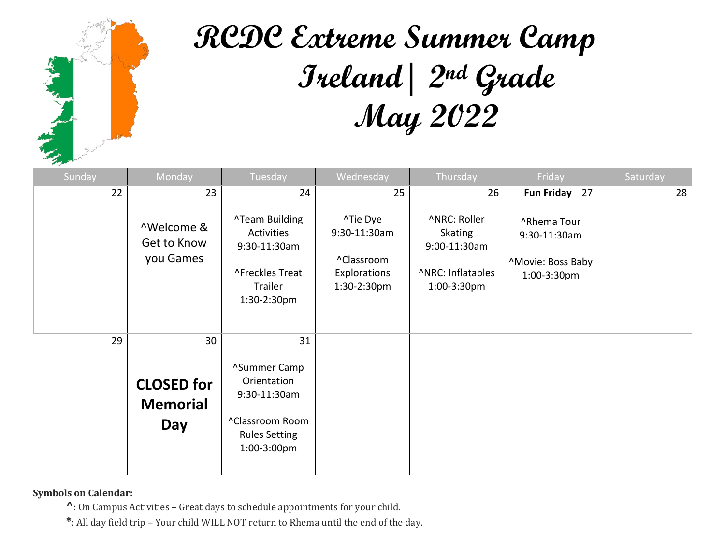

# **RCDC Extreme Summer Camp Ireland| 2nd Grade May 2022**

| Sunday | Monday                                      | Tuesday                                                                                               | Wednesday                                                             | Thursday                                                                           | Friday                                                          | Saturday |
|--------|---------------------------------------------|-------------------------------------------------------------------------------------------------------|-----------------------------------------------------------------------|------------------------------------------------------------------------------------|-----------------------------------------------------------------|----------|
| 22     | 23                                          | 24                                                                                                    | 25                                                                    | 26                                                                                 | Fun Friday 27                                                   | 28       |
|        | ^Welcome &<br>Get to Know<br>you Games      | <b>^Team Building</b><br>Activities<br>9:30-11:30am<br>^Freckles Treat<br>Trailer<br>1:30-2:30pm      | ^Tie Dye<br>9:30-11:30am<br>^Classroom<br>Explorations<br>1:30-2:30pm | ^NRC: Roller<br><b>Skating</b><br>9:00-11:30am<br>^NRC: Inflatables<br>1:00-3:30pm | ^Rhema Tour<br>9:30-11:30am<br>^Movie: Boss Baby<br>1:00-3:30pm |          |
| 29     | 30                                          | 31                                                                                                    |                                                                       |                                                                                    |                                                                 |          |
|        | <b>CLOSED for</b><br><b>Memorial</b><br>Day | ^Summer Camp<br>Orientation<br>9:30-11:30am<br>^Classroom Room<br><b>Rules Setting</b><br>1:00-3:00pm |                                                                       |                                                                                    |                                                                 |          |

**Symbols on Calendar:** 

**^**: On Campus Activities – Great days to schedule appointments for your child.

**\***: All day field trip – Your child WILL NOT return to Rhema until the end of the day.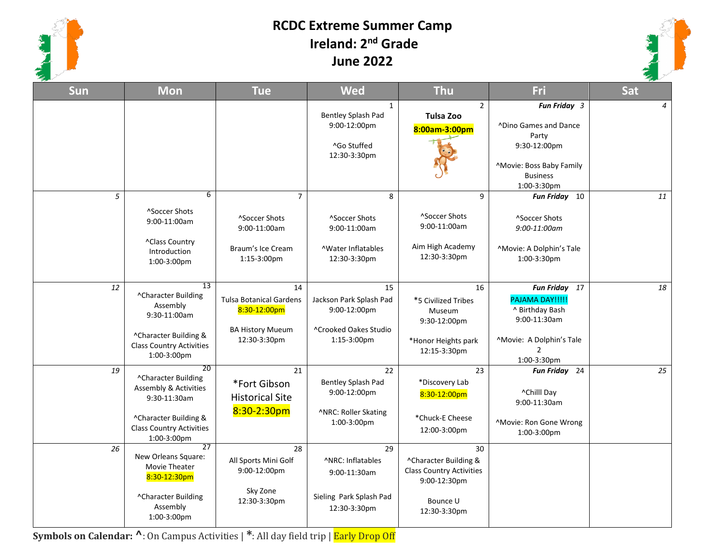

### **RCDC Extreme Summer Camp Ireland: 2nd Grade June 2022**



| Sun | <b>Mon</b>                                                                                                                                    | <b>Tue</b>                                                                                      | <b>Wed</b>                                                                                | <b>Thu</b>                                                                                                 | Fri                                                                                                                                 | Sat            |
|-----|-----------------------------------------------------------------------------------------------------------------------------------------------|-------------------------------------------------------------------------------------------------|-------------------------------------------------------------------------------------------|------------------------------------------------------------------------------------------------------------|-------------------------------------------------------------------------------------------------------------------------------------|----------------|
|     |                                                                                                                                               |                                                                                                 | $\mathbf{1}$<br>Bentley Splash Pad<br>9:00-12:00pm<br>^Go Stuffed<br>12:30-3:30pm         | $\overline{2}$<br><b>Tulsa Zoo</b><br>8:00am-3:00pm                                                        | Fun Friday 3<br><b>^Dino Games and Dance</b><br>Party<br>9:30-12:00pm<br>^Movie: Boss Baby Family<br><b>Business</b><br>1:00-3:30pm | $\overline{4}$ |
| 5   | 6<br>^Soccer Shots<br>9:00-11:00am<br>^Class Country<br>Introduction<br>1:00-3:00pm                                                           | $\overline{7}$<br><sup>^</sup> Soccer Shots<br>9:00-11:00am<br>Braum's Ice Cream<br>1:15-3:00pm | 8<br>^Soccer Shots<br>9:00-11:00am<br><b>AWater Inflatables</b><br>12:30-3:30pm           | 9<br>^Soccer Shots<br>9:00-11:00am<br>Aim High Academy<br>12:30-3:30pm                                     | Fun Friday 10<br>^Soccer Shots<br>9:00-11:00am<br>^Movie: A Dolphin's Tale<br>1:00-3:30pm                                           | 11             |
| 12  | 13<br>^Character Building<br>Assembly<br>9:30-11:00am<br>^Character Building &<br><b>Class Country Activities</b><br>1:00-3:00pm              | 14<br><b>Tulsa Botanical Gardens</b><br>8:30-12:00pm<br><b>BA History Mueum</b><br>12:30-3:30pm | 15<br>Jackson Park Splash Pad<br>9:00-12:00pm<br>^Crooked Oakes Studio<br>1:15-3:00pm     | 16<br>*5 Civilized Tribes<br>Museum<br>9:30-12:00pm<br>*Honor Heights park<br>12:15-3:30pm                 | Fun Friday 17<br>PAJAMA DAY!!!!!<br>^ Birthday Bash<br>9:00-11:30am<br>^Movie: A Dolphin's Tale<br>$\overline{2}$<br>1:00-3:30pm    | 18             |
| 19  | 20<br>^Character Building<br>Assembly & Activities<br>9:30-11:30am<br>^Character Building &<br><b>Class Country Activities</b><br>1:00-3:00pm | 21<br>*Fort Gibson<br><b>Historical Site</b><br>$8:30-2:30$ pm                                  | 22<br>Bentley Splash Pad<br>9:00-12:00pm<br>^NRC: Roller Skating<br>1:00-3:00pm           | 23<br>*Discovery Lab<br>8:30-12:00pm<br>*Chuck-E Cheese<br>12:00-3:00pm                                    | Fun Friday 24<br>^Chilll Day<br>9:00-11:30am<br>^Movie: Ron Gone Wrong<br>1:00-3:00pm                                               | 25             |
| 26  | 27<br>New Orleans Square:<br>Movie Theater<br>8:30-12:30pm<br>^Character Building<br>Assembly<br>$1:00-3:00$ pm                               | 28<br>All Sports Mini Golf<br>9:00-12:00pm<br>Sky Zone<br>12:30-3:30pm                          | 29<br><b>ANRC: Inflatables</b><br>9:00-11:30am<br>Sieling Park Splash Pad<br>12:30-3:30pm | 30<br>^Character Building &<br><b>Class Country Activities</b><br>9:00-12:30pm<br>Bounce U<br>12:30-3:30pm |                                                                                                                                     |                |

**Symbols on Calendar: ^**: On Campus Activities | **\***: All day field trip | Early Drop Off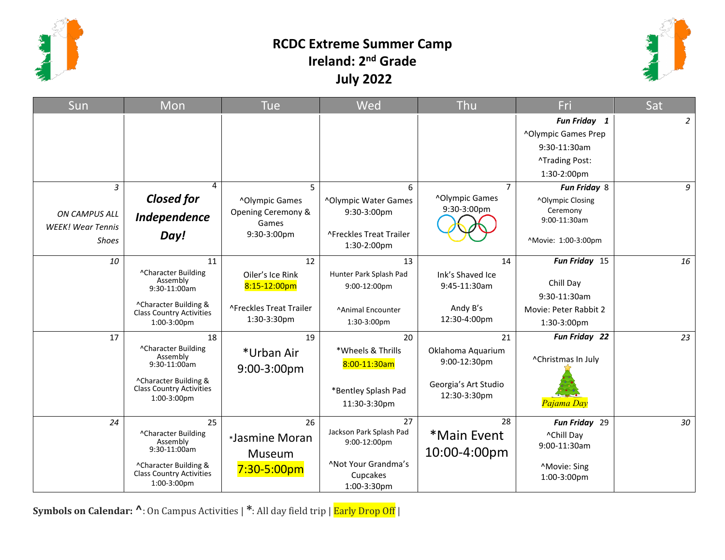

### **RCDC Extreme Summer Camp Ireland: 2nd Grade July 2022**



| Sun                                                            | Mon                                                                                                                                      | <b>Tue</b>                                                                             | Wed                                                                                             | Thu                                                                       | Fri                                                                                                 | Sat         |
|----------------------------------------------------------------|------------------------------------------------------------------------------------------------------------------------------------------|----------------------------------------------------------------------------------------|-------------------------------------------------------------------------------------------------|---------------------------------------------------------------------------|-----------------------------------------------------------------------------------------------------|-------------|
|                                                                |                                                                                                                                          |                                                                                        |                                                                                                 |                                                                           | Fun Friday 1<br><b>^Olympic Games Prep</b><br>9:30-11:30am<br><b>^Trading Post:</b><br>1:30-2:00pm  | $2^{\circ}$ |
| 3<br>ON CAMPUS ALL<br><b>WEEK!</b> Wear Tennis<br><b>Shoes</b> | 4<br><b>Closed for</b><br>Independence<br>Day!                                                                                           | 5<br>^Olympic Games<br>Opening Ceremony &<br>Games<br>9:30-3:00pm                      | 6<br>^Olympic Water Games<br>9:30-3:00pm<br><b>AFreckles Treat Trailer</b><br>1:30-2:00pm       | $\overline{7}$<br>^Olympic Games<br>9:30-3:00pm                           | Fun Friday 8<br>^Olympic Closing<br>Ceremony<br>9:00-11:30am<br>^Movie: 1:00-3:00pm                 | 9           |
| 10<br>17                                                       | 11<br>^Character Building<br>Assembly<br>$9:30-11:00am$<br>^Character Building &<br><b>Class Country Activities</b><br>1:00-3:00pm<br>18 | 12<br>Oiler's Ice Rink<br>8:15-12:00pm<br>^Freckles Treat Trailer<br>1:30-3:30pm<br>19 | 13<br>Hunter Park Splash Pad<br>9:00-12:00pm<br>^Animal Encounter<br>1:30-3:00pm<br>20          | 14<br>Ink's Shaved Ice<br>9:45-11:30am<br>Andy B's<br>12:30-4:00pm<br>21  | Fun Friday 15<br>Chill Day<br>9:30-11:30am<br>Movie: Peter Rabbit 2<br>1:30-3:00pm<br>Fun Friday 22 | 16<br>23    |
|                                                                | ^Character Building<br>Assembly<br>$9:30-11:00am$<br>^Character Building &<br><b>Class Country Activities</b><br>1:00-3:00pm             | *Urban Air<br>9:00-3:00pm                                                              | *Wheels & Thrills<br>8:00-11:30am<br>*Bentley Splash Pad<br>11:30-3:30pm                        | Oklahoma Aquarium<br>9:00-12:30pm<br>Georgia's Art Studio<br>12:30-3:30pm | ^Christmas In July<br>Pajama Day                                                                    |             |
| 24                                                             | 25<br>^Character Building<br>Assembly<br>$9:30-11:00am$<br>^Character Building &<br>Class Country Activities<br>1:00-3:00pm              | 26<br>*Jasmine Moran<br>Museum<br>$7:30 - 5:00pm$                                      | 27<br>Jackson Park Splash Pad<br>9:00-12:00pm<br>^Not Your Grandma's<br>Cupcakes<br>1:00-3:30pm | 28<br>*Main Event<br>10:00-4:00pm                                         | Fun Friday 29<br>^Chill Day<br>9:00-11:30am<br>^Movie: Sing<br>1:00-3:00pm                          | 30          |

**Symbols on Calendar: ^**: On Campus Activities | **\***: All day field trip | Early Drop Off |